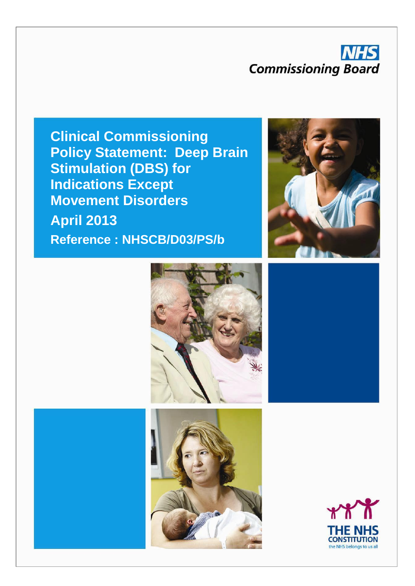# **NHS Commissioning Board**

**Clinical Commissioning Policy Statement: Deep Brain Stimulation (DBS) for Indications Except Movement Disorders April 2013 Reference : NHSCB/D03/PS/b**







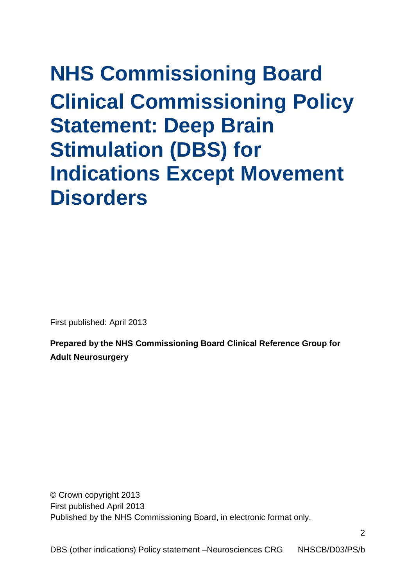# **NHS Commissioning Board Clinical Commissioning Policy Statement: Deep Brain Stimulation (DBS) for Indications Except Movement Disorders**

First published: April 2013

**Prepared by the NHS Commissioning Board Clinical Reference Group for Adult Neurosurgery**

© Crown copyright 2013 First published April 2013 Published by the NHS Commissioning Board, in electronic format only.

NHSCB/D03/PS/b DBS (other indications) Policy statement –Neurosciences CRG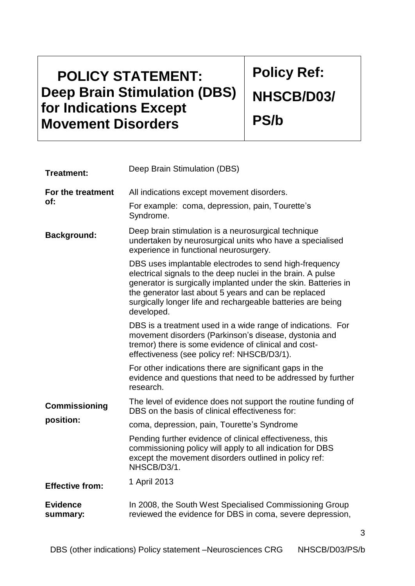# **POLICY STATEMENT: Deep Brain Stimulation (DBS) for Indications Except Movement Disorders**

**Policy Ref: NHSCB/D03/ PS/b**

3

| <b>Treatment:</b>           | Deep Brain Stimulation (DBS)                                                                                                                                                                                                                                                                                                 |  |  |  |
|-----------------------------|------------------------------------------------------------------------------------------------------------------------------------------------------------------------------------------------------------------------------------------------------------------------------------------------------------------------------|--|--|--|
| For the treatment<br>of:    | All indications except movement disorders.                                                                                                                                                                                                                                                                                   |  |  |  |
|                             | For example: coma, depression, pain, Tourette's<br>Syndrome.                                                                                                                                                                                                                                                                 |  |  |  |
| <b>Background:</b>          | Deep brain stimulation is a neurosurgical technique<br>undertaken by neurosurgical units who have a specialised<br>experience in functional neurosurgery.                                                                                                                                                                    |  |  |  |
|                             | DBS uses implantable electrodes to send high-frequency<br>electrical signals to the deep nuclei in the brain. A pulse<br>generator is surgically implanted under the skin. Batteries in<br>the generator last about 5 years and can be replaced<br>surgically longer life and rechargeable batteries are being<br>developed. |  |  |  |
|                             | DBS is a treatment used in a wide range of indications. For<br>movement disorders (Parkinson's disease, dystonia and<br>tremor) there is some evidence of clinical and cost-<br>effectiveness (see policy ref: NHSCB/D3/1).                                                                                                  |  |  |  |
|                             | For other indications there are significant gaps in the<br>evidence and questions that need to be addressed by further<br>research.                                                                                                                                                                                          |  |  |  |
| <b>Commissioning</b>        | The level of evidence does not support the routine funding of<br>DBS on the basis of clinical effectiveness for:                                                                                                                                                                                                             |  |  |  |
| position:                   | coma, depression, pain, Tourette's Syndrome                                                                                                                                                                                                                                                                                  |  |  |  |
|                             | Pending further evidence of clinical effectiveness, this<br>commissioning policy will apply to all indication for DBS<br>except the movement disorders outlined in policy ref:<br>NHSCB/D3/1.                                                                                                                                |  |  |  |
| <b>Effective from:</b>      | 1 April 2013                                                                                                                                                                                                                                                                                                                 |  |  |  |
| <b>Evidence</b><br>summary: | In 2008, the South West Specialised Commissioning Group<br>reviewed the evidence for DBS in coma, severe depression,                                                                                                                                                                                                         |  |  |  |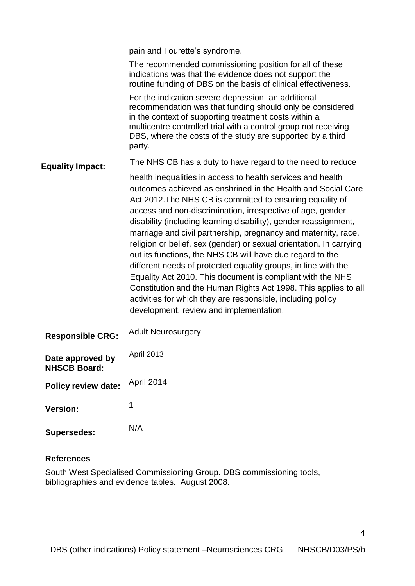|                                         | pain and Tourette's syndrome.                                                                                                                                                                                                                                                                                                                                                                                                                                                                                                                                                                                                                                                                                                                                                                                                                  |  |  |
|-----------------------------------------|------------------------------------------------------------------------------------------------------------------------------------------------------------------------------------------------------------------------------------------------------------------------------------------------------------------------------------------------------------------------------------------------------------------------------------------------------------------------------------------------------------------------------------------------------------------------------------------------------------------------------------------------------------------------------------------------------------------------------------------------------------------------------------------------------------------------------------------------|--|--|
| <b>Equality Impact:</b>                 | The recommended commissioning position for all of these<br>indications was that the evidence does not support the<br>routine funding of DBS on the basis of clinical effectiveness.                                                                                                                                                                                                                                                                                                                                                                                                                                                                                                                                                                                                                                                            |  |  |
|                                         | For the indication severe depression an additional<br>recommendation was that funding should only be considered<br>in the context of supporting treatment costs within a<br>multicentre controlled trial with a control group not receiving<br>DBS, where the costs of the study are supported by a third<br>party.                                                                                                                                                                                                                                                                                                                                                                                                                                                                                                                            |  |  |
|                                         | The NHS CB has a duty to have regard to the need to reduce                                                                                                                                                                                                                                                                                                                                                                                                                                                                                                                                                                                                                                                                                                                                                                                     |  |  |
|                                         | health inequalities in access to health services and health<br>outcomes achieved as enshrined in the Health and Social Care<br>Act 2012. The NHS CB is committed to ensuring equality of<br>access and non-discrimination, irrespective of age, gender,<br>disability (including learning disability), gender reassignment,<br>marriage and civil partnership, pregnancy and maternity, race,<br>religion or belief, sex (gender) or sexual orientation. In carrying<br>out its functions, the NHS CB will have due regard to the<br>different needs of protected equality groups, in line with the<br>Equality Act 2010. This document is compliant with the NHS<br>Constitution and the Human Rights Act 1998. This applies to all<br>activities for which they are responsible, including policy<br>development, review and implementation. |  |  |
| <b>Responsible CRG:</b>                 | <b>Adult Neurosurgery</b>                                                                                                                                                                                                                                                                                                                                                                                                                                                                                                                                                                                                                                                                                                                                                                                                                      |  |  |
| Date approved by<br><b>NHSCB Board:</b> | April 2013                                                                                                                                                                                                                                                                                                                                                                                                                                                                                                                                                                                                                                                                                                                                                                                                                                     |  |  |
| <b>Policy review date:</b>              | April 2014                                                                                                                                                                                                                                                                                                                                                                                                                                                                                                                                                                                                                                                                                                                                                                                                                                     |  |  |
| <b>Version:</b>                         | 1                                                                                                                                                                                                                                                                                                                                                                                                                                                                                                                                                                                                                                                                                                                                                                                                                                              |  |  |
| <b>Supersedes:</b>                      | N/A                                                                                                                                                                                                                                                                                                                                                                                                                                                                                                                                                                                                                                                                                                                                                                                                                                            |  |  |
|                                         |                                                                                                                                                                                                                                                                                                                                                                                                                                                                                                                                                                                                                                                                                                                                                                                                                                                |  |  |

### **References**

South West Specialised Commissioning Group. DBS commissioning tools, bibliographies and evidence tables. August 2008.

4